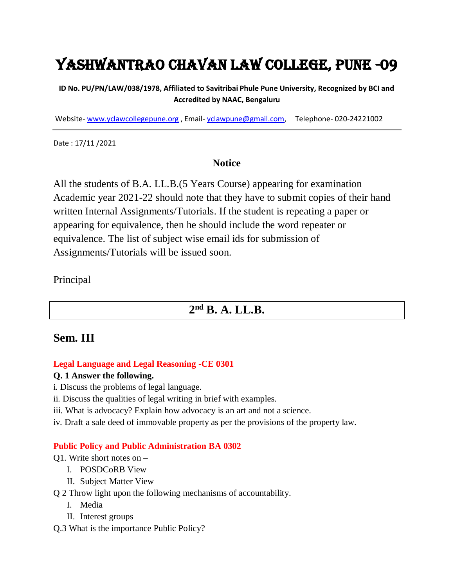# Yashwantrao Chavan Law College, Pune -09

#### **ID No. PU/PN/LAW/038/1978, Affiliated to Savitribai Phule Pune University, Recognized by BCI and Accredited by NAAC, Bengaluru**

Website- [www.yclawcollegepune.org](http://www.yclawcollegepune.org/) , Email- [yclawpune@gmail.com,](mailto:yclawpune@gmail.com) Telephone- 020-24221002

Date : 17/11 /2021

#### **Notice**

All the students of B.A. LL.B.(5 Years Course) appearing for examination Academic year 2021-22 should note that they have to submit copies of their hand written Internal Assignments/Tutorials. If the student is repeating a paper or appearing for equivalence, then he should include the word repeater or equivalence. The list of subject wise email ids for submission of Assignments/Tutorials will be issued soon.

Principal

## **2 nd B. A. LL.B.**

### **Sem. III**

#### **Legal Language and Legal Reasoning -CE 0301**

#### **Q. 1 Answer the following.**

- i. Discuss the problems of legal language.
- ii. Discuss the qualities of legal writing in brief with examples.
- iii. What is advocacy? Explain how advocacy is an art and not a science.
- iv. Draft a sale deed of immovable property as per the provisions of the property law.

#### **Public Policy and Public Administration BA 0302**

#### Q1. Write short notes on –

- I. POSDCoRB View
- II. Subject Matter View
- Q 2 Throw light upon the following mechanisms of accountability.
	- I. Media
	- II. Interest groups
- Q.3 What is the importance Public Policy?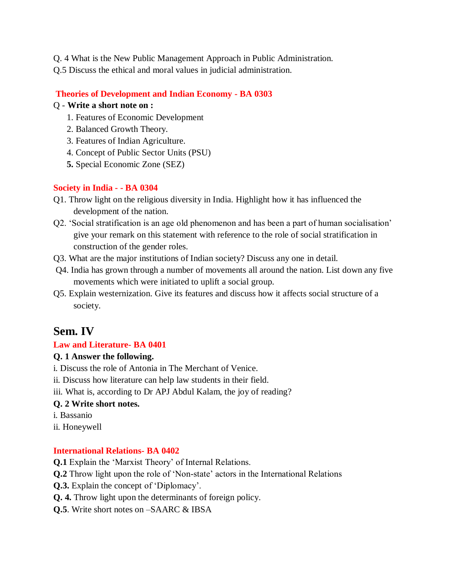- Q. 4 What is the New Public Management Approach in Public Administration.
- Q.5 Discuss the ethical and moral values in judicial administration.

#### **Theories of Development and Indian Economy - BA 0303**

#### Q - **Write a short note on :**

- 1. Features of Economic Development
- 2. Balanced Growth Theory.
- 3. Features of Indian Agriculture.
- 4. Concept of Public Sector Units (PSU)
- **5.** Special Economic Zone (SEZ)

#### **Society in India - - BA 0304**

- Q1. Throw light on the religious diversity in India. Highlight how it has influenced the development of the nation.
- Q2. 'Social stratification is an age old phenomenon and has been a part of human socialisation' give your remark on this statement with reference to the role of social stratification in construction of the gender roles.
- Q3. What are the major institutions of Indian society? Discuss any one in detail.
- Q4. India has grown through a number of movements all around the nation. List down any five movements which were initiated to uplift a social group.
- Q5. Explain westernization. Give its features and discuss how it affects social structure of a society.

### **Sem. IV**

#### **Law and Literature- BA 0401**

#### **Q. 1 Answer the following.**

- i. Discuss the role of Antonia in The Merchant of Venice.
- ii. Discuss how literature can help law students in their field.
- iii. What is, according to Dr APJ Abdul Kalam, the joy of reading?

#### **Q. 2 Write short notes.**

- i. Bassanio
- ii. Honeywell

#### **International Relations- BA 0402**

- **Q.1** Explain the 'Marxist Theory' of Internal Relations.
- **Q.2** Throw light upon the role of 'Non-state' actors in the International Relations
- **Q.3.** Explain the concept of 'Diplomacy'.
- **Q. 4.** Throw light upon the determinants of foreign policy.
- **Q.5**. Write short notes on –SAARC & IBSA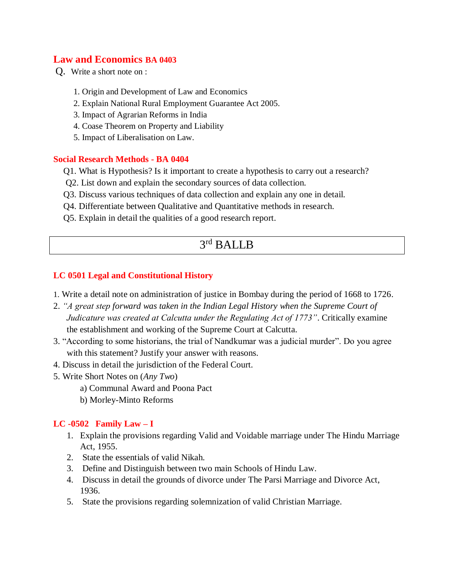#### **Law and Economics BA 0403**

Q. Write a short note on :

- 1. Origin and Development of Law and Economics
- 2. Explain National Rural Employment Guarantee Act 2005.
- 3. Impact of Agrarian Reforms in India
- 4. Coase Theorem on Property and Liability
- 5. Impact of Liberalisation on Law.

#### **Social Research Methods - BA 0404**

- Q1. What is Hypothesis? Is it important to create a hypothesis to carry out a research?
- Q2. List down and explain the secondary sources of data collection.
- Q3. Discuss various techniques of data collection and explain any one in detail.
- Q4. Differentiate between Qualitative and Quantitative methods in research.
- Q5. Explain in detail the qualities of a good research report.

### 3 rd BALLB

#### **LC 0501 Legal and Constitutional History**

- 1. Write a detail note on administration of justice in Bombay during the period of 1668 to 1726.
- 2. *"A great step forward was taken in the Indian Legal History when the Supreme Court of Judicature was created at Calcutta under the Regulating Act of 1773"*. Critically examine the establishment and working of the Supreme Court at Calcutta.
- 3. "According to some historians, the trial of Nandkumar was a judicial murder". Do you agree with this statement? Justify your answer with reasons.
- 4. Discuss in detail the jurisdiction of the Federal Court.
- 5. Write Short Notes on (*Any Two*)
	- a) Communal Award and Poona Pact
	- b) Morley-Minto Reforms

#### **LC -0502 Family Law – I**

- 1. Explain the provisions regarding Valid and Voidable marriage under The Hindu Marriage Act, 1955.
- 2. State the essentials of valid Nikah.
- 3. Define and Distinguish between two main Schools of Hindu Law.
- 4. Discuss in detail the grounds of divorce under The Parsi Marriage and Divorce Act, 1936.
- 5. State the provisions regarding solemnization of valid Christian Marriage.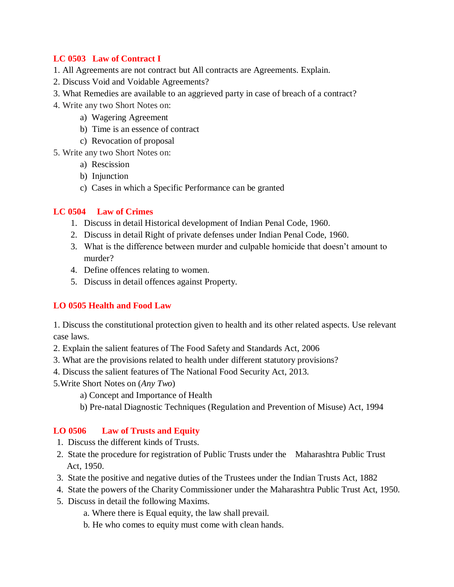#### **LC 0503 Law of Contract I**

- 1. All Agreements are not contract but All contracts are Agreements. Explain.
- 2. Discuss Void and Voidable Agreements?
- 3. What Remedies are available to an aggrieved party in case of breach of a contract?
- 4. Write any two Short Notes on:
	- a) Wagering Agreement
	- b) Time is an essence of contract
	- c) Revocation of proposal
- 5. Write any two Short Notes on:
	- a) Rescission
	- b) Injunction
	- c) Cases in which a Specific Performance can be granted

#### **LC 0504 Law of Crimes**

- 1. Discuss in detail Historical development of Indian Penal Code, 1960.
- 2. Discuss in detail Right of private defenses under Indian Penal Code, 1960.
- 3. What is the difference between murder and culpable homicide that doesn't amount to murder?
- 4. Define offences relating to women.
- 5. Discuss in detail offences against Property.

#### **LO 0505 Health and Food Law**

1. Discuss the constitutional protection given to health and its other related aspects. Use relevant case laws.

- 2. Explain the salient features of The Food Safety and Standards Act, 2006
- 3. What are the provisions related to health under different statutory provisions?
- 4. Discuss the salient features of The National Food Security Act, 2013.
- 5.Write Short Notes on (*Any Two*)
	- a) Concept and Importance of Health
	- b) Pre-natal Diagnostic Techniques (Regulation and Prevention of Misuse) Act, 1994

#### **LO 0506 Law of Trusts and Equity**

- 1. Discuss the different kinds of Trusts.
- 2. State the procedure for registration of Public Trusts under the Maharashtra Public Trust Act, 1950.
- 3. State the positive and negative duties of the Trustees under the Indian Trusts Act, 1882
- 4. State the powers of the Charity Commissioner under the Maharashtra Public Trust Act, 1950.
- 5. Discuss in detail the following Maxims.
	- a. Where there is Equal equity, the law shall prevail.
	- b. He who comes to equity must come with clean hands.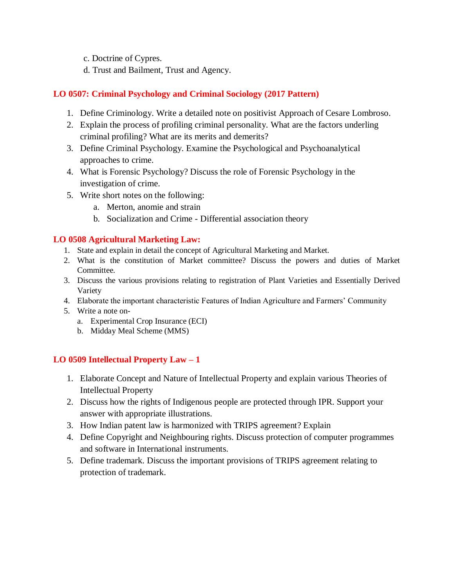- c. Doctrine of Cypres.
- d. Trust and Bailment, Trust and Agency.

#### **LO 0507: Criminal Psychology and Criminal Sociology (2017 Pattern)**

- 1. Define Criminology. Write a detailed note on positivist Approach of Cesare Lombroso.
- 2. Explain the process of profiling criminal personality. What are the factors underling criminal profiling? What are its merits and demerits?
- 3. Define Criminal Psychology. Examine the Psychological and Psychoanalytical approaches to crime.
- 4. What is Forensic Psychology? Discuss the role of Forensic Psychology in the investigation of crime.
- 5. Write short notes on the following:
	- a. Merton, anomie and strain
	- b. Socialization and Crime Differential association theory

#### **LO 0508 Agricultural Marketing Law:**

- 1. State and explain in detail the concept of Agricultural Marketing and Market.
- 2. What is the constitution of Market committee? Discuss the powers and duties of Market Committee.
- 3. Discuss the various provisions relating to registration of Plant Varieties and Essentially Derived Variety
- 4. Elaborate the important characteristic Features of Indian Agriculture and Farmers' Community
- 5. Write a note on
	- a. Experimental Crop Insurance (ECI)
	- b. Midday Meal Scheme (MMS)

#### **LO 0509 Intellectual Property Law – 1**

- 1. Elaborate Concept and Nature of Intellectual Property and explain various Theories of Intellectual Property
- 2. Discuss how the rights of Indigenous people are protected through IPR. Support your answer with appropriate illustrations.
- 3. How Indian patent law is harmonized with TRIPS agreement? Explain
- 4. Define Copyright and Neighbouring rights. Discuss protection of computer programmes and software in International instruments.
- 5. Define trademark. Discuss the important provisions of TRIPS agreement relating to protection of trademark.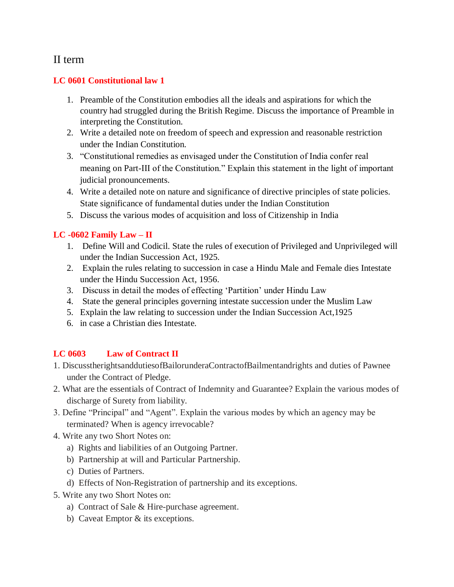### II term

#### **LC 0601 Constitutional law 1**

- 1. Preamble of the Constitution embodies all the ideals and aspirations for which the country had struggled during the British Regime. Discuss the importance of Preamble in interpreting the Constitution.
- 2. Write a detailed note on freedom of speech and expression and reasonable restriction under the Indian Constitution.
- 3. "Constitutional remedies as envisaged under the Constitution of India confer real meaning on Part-III of the Constitution." Explain this statement in the light of important judicial pronouncements.
- 4. Write a detailed note on nature and significance of directive principles of state policies. State significance of fundamental duties under the Indian Constitution
- 5. Discuss the various modes of acquisition and loss of Citizenship in India

#### **LC -0602 Family Law – II**

- 1. Define Will and Codicil. State the rules of execution of Privileged and Unprivileged will under the Indian Succession Act, 1925.
- 2. Explain the rules relating to succession in case a Hindu Male and Female dies Intestate under the Hindu Succession Act, 1956.
- 3. Discuss in detail the modes of effecting 'Partition' under Hindu Law
- 4. State the general principles governing intestate succession under the Muslim Law
- 5. Explain the law relating to succession under the Indian Succession Act,1925
- 6. in case a Christian dies Intestate.

#### **LC 0603 Law of Contract II**

- 1. DiscusstherightsanddutiesofBailorunderaContractofBailmentandrights and duties of Pawnee under the Contract of Pledge.
- 2. What are the essentials of Contract of Indemnity and Guarantee? Explain the various modes of discharge of Surety from liability.
- 3. Define "Principal" and "Agent". Explain the various modes by which an agency may be terminated? When is agency irrevocable?
- 4. Write any two Short Notes on:
	- a) Rights and liabilities of an Outgoing Partner.
	- b) Partnership at will and Particular Partnership.
	- c) Duties of Partners.
	- d) Effects of Non-Registration of partnership and its exceptions.
- 5. Write any two Short Notes on:
	- a) Contract of Sale & Hire-purchase agreement.
	- b) Caveat Emptor & its exceptions.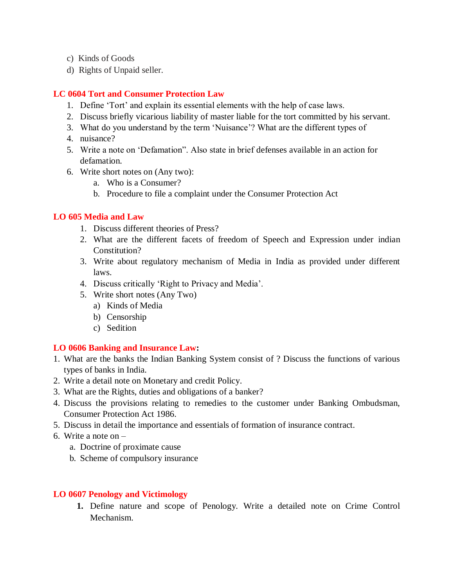- c) Kinds of Goods
- d) Rights of Unpaid seller.

#### **LC 0604 Tort and Consumer Protection Law**

- 1. Define 'Tort' and explain its essential elements with the help of case laws.
- 2. Discuss briefly vicarious liability of master liable for the tort committed by his servant.
- 3. What do you understand by the term 'Nuisance'? What are the different types of
- 4. nuisance?
- 5. Write a note on 'Defamation". Also state in brief defenses available in an action for defamation.
- 6. Write short notes on (Any two):
	- a. Who is a Consumer?
	- b. Procedure to file a complaint under the Consumer Protection Act

#### **LO 605 Media and Law**

- 1. Discuss different theories of Press?
- 2. What are the different facets of freedom of Speech and Expression under indian Constitution?
- 3. Write about regulatory mechanism of Media in India as provided under different laws.
- 4. Discuss critically 'Right to Privacy and Media'.
- 5. Write short notes (Any Two)
	- a) Kinds of Media
	- b) Censorship
	- c) Sedition

#### **LO 0606 Banking and Insurance Law:**

- 1. What are the banks the Indian Banking System consist of ? Discuss the functions of various types of banks in India.
- 2. Write a detail note on Monetary and credit Policy.
- 3. What are the Rights, duties and obligations of a banker?
- 4. Discuss the provisions relating to remedies to the customer under Banking Ombudsman, Consumer Protection Act 1986.
- 5. Discuss in detail the importance and essentials of formation of insurance contract.
- 6. Write a note on
	- a. Doctrine of proximate cause
	- b. Scheme of compulsory insurance

#### **LO 0607 Penology and Victimology**

**1.** Define nature and scope of Penology. Write a detailed note on Crime Control Mechanism.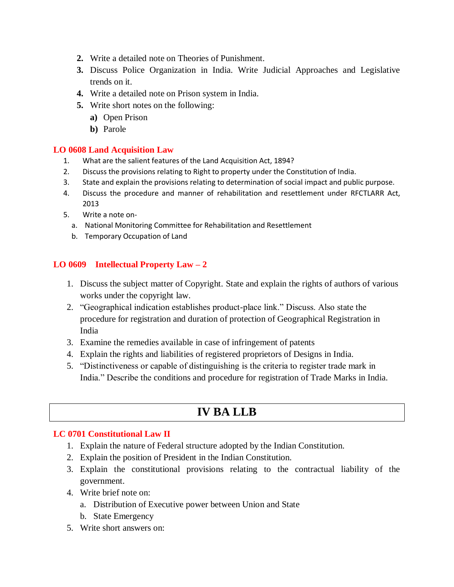- **2.** Write a detailed note on Theories of Punishment.
- **3.** Discuss Police Organization in India. Write Judicial Approaches and Legislative trends on it.
- **4.** Write a detailed note on Prison system in India.
- **5.** Write short notes on the following:
	- **a)** Open Prison
	- **b)** Parole

#### **LO 0608 Land Acquisition Law**

- 1. What are the salient features of the Land Acquisition Act, 1894?
- 2. Discuss the provisions relating to Right to property under the Constitution of India.
- 3. State and explain the provisions relating to determination of social impact and public purpose.
- 4. Discuss the procedure and manner of rehabilitation and resettlement under RFCTLARR Act, 2013
- 5. Write a note on
	- a. National Monitoring Committee for Rehabilitation and Resettlement
	- b. Temporary Occupation of Land

#### **LO 0609 Intellectual Property Law – 2**

- 1. Discuss the subject matter of Copyright. State and explain the rights of authors of various works under the copyright law.
- 2. "Geographical indication establishes product-place link." Discuss. Also state the procedure for registration and duration of protection of Geographical Registration in India
- 3. Examine the remedies available in case of infringement of patents
- 4. Explain the rights and liabilities of registered proprietors of Designs in India.
- 5. "Distinctiveness or capable of distinguishing is the criteria to register trade mark in India." Describe the conditions and procedure for registration of Trade Marks in India.

## **IV BA LLB**

#### **LC 0701 Constitutional Law II**

- 1. Explain the nature of Federal structure adopted by the Indian Constitution.
- 2. Explain the position of President in the Indian Constitution.
- 3. Explain the constitutional provisions relating to the contractual liability of the government.
- 4. Write brief note on:
	- a. Distribution of Executive power between Union and State
	- b. State Emergency
- 5. Write short answers on: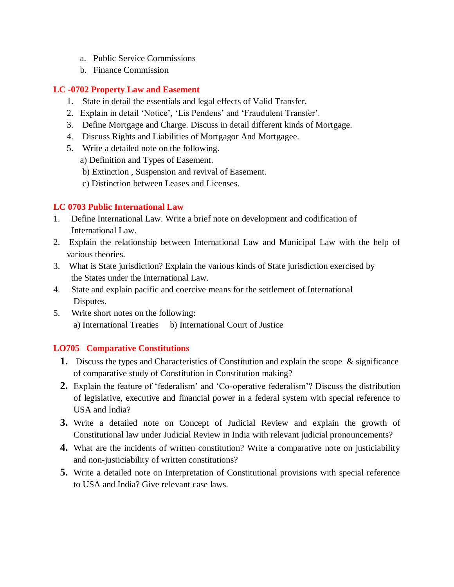- a. Public Service Commissions
- b. Finance Commission

#### **LC -0702 Property Law and Easement**

- 1. State in detail the essentials and legal effects of Valid Transfer.
- 2. Explain in detail 'Notice', 'Lis Pendens' and 'Fraudulent Transfer'.
- 3. Define Mortgage and Charge. Discuss in detail different kinds of Mortgage.
- 4. Discuss Rights and Liabilities of Mortgagor And Mortgagee.
- 5. Write a detailed note on the following.

a) Definition and Types of Easement.

- b) Extinction , Suspension and revival of Easement.
- c) Distinction between Leases and Licenses.

#### **LC 0703 Public International Law**

- 1. Define International Law. Write a brief note on development and codification of International Law.
- 2. Explain the relationship between International Law and Municipal Law with the help of various theories.
- 3. What is State jurisdiction? Explain the various kinds of State jurisdiction exercised by the States under the International Law.
- 4. State and explain pacific and coercive means for the settlement of International Disputes.
- 5. Write short notes on the following: a) International Treaties b) International Court of Justice

#### **LO705 Comparative Constitutions**

- **1.** Discuss the types and Characteristics of Constitution and explain the scope & significance of comparative study of Constitution in Constitution making?
- **2.** Explain the feature of 'federalism' and 'Co-operative federalism'? Discuss the distribution of legislative, executive and financial power in a federal system with special reference to USA and India?
- **3.** Write a detailed note on Concept of Judicial Review and explain the growth of Constitutional law under Judicial Review in India with relevant judicial pronouncements?
- **4.** What are the incidents of written constitution? Write a comparative note on justiciability and non-justiciability of written constitutions?
- **5.** Write a detailed note on Interpretation of Constitutional provisions with special reference to USA and India? Give relevant case laws.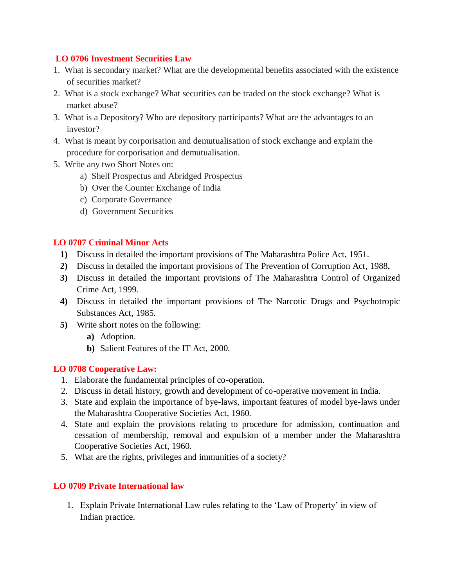#### **LO 0706 Investment Securities Law**

- 1. What is secondary market? What are the developmental benefits associated with the existence of securities market?
- 2. What is a stock exchange? What securities can be traded on the stock exchange? What is market abuse?
- 3. What is a Depository? Who are depository participants? What are the advantages to an investor?
- 4. What is meant by corporisation and demutualisation of stock exchange and explain the procedure for corporisation and demutualisation.
- 5. Write any two Short Notes on:
	- a) Shelf Prospectus and Abridged Prospectus
	- b) Over the Counter Exchange of India
	- c) Corporate Governance
	- d) Government Securities

#### **LO 0707 Criminal Minor Acts**

- **1)** Discuss in detailed the important provisions of The Maharashtra Police Act, 1951.
- **2)** Discuss in detailed the important provisions of The Prevention of Corruption Act, 1988**.**
- **3)** Discuss in detailed the important provisions of The Maharashtra Control of Organized Crime Act, 1999.
- **4)** Discuss in detailed the important provisions of The Narcotic Drugs and Psychotropic Substances Act, 1985.
- **5)** Write short notes on the following:
	- **a)** Adoption.
	- **b)** Salient Features of the IT Act, 2000.

#### **LO 0708 Cooperative Law:**

- 1. Elaborate the fundamental principles of co-operation.
- 2. Discuss in detail history, growth and development of co-operative movement in India.
- 3. State and explain the importance of bye-laws, important features of model bye-laws under the Maharashtra Cooperative Societies Act, 1960.
- 4. State and explain the provisions relating to procedure for admission, continuation and cessation of membership, removal and expulsion of a member under the Maharashtra Cooperative Societies Act, 1960.
- 5. What are the rights, privileges and immunities of a society?

#### **LO 0709 Private International law**

1. Explain Private International Law rules relating to the 'Law of Property' in view of Indian practice.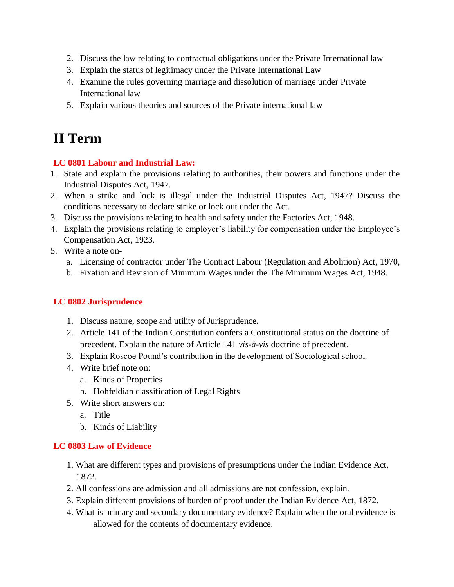- 2. Discuss the law relating to contractual obligations under the Private International law
- 3. Explain the status of legitimacy under the Private International Law
- 4. Examine the rules governing marriage and dissolution of marriage under Private International law
- 5. Explain various theories and sources of the Private international law

# **II Term**

#### **LC 0801 Labour and Industrial Law:**

- 1. State and explain the provisions relating to authorities, their powers and functions under the Industrial Disputes Act, 1947.
- 2. When a strike and lock is illegal under the Industrial Disputes Act, 1947? Discuss the conditions necessary to declare strike or lock out under the Act.
- 3. Discuss the provisions relating to health and safety under the Factories Act, 1948.
- 4. Explain the provisions relating to employer's liability for compensation under the Employee's Compensation Act, 1923.
- 5. Write a note on
	- a. Licensing of contractor under The Contract Labour (Regulation and Abolition) Act, 1970,
	- b. Fixation and Revision of Minimum Wages under the The Minimum Wages Act, 1948.

#### **LC 0802 Jurisprudence**

- 1. Discuss nature, scope and utility of Jurisprudence.
- 2. Article 141 of the Indian Constitution confers a Constitutional status on the doctrine of precedent. Explain the nature of Article 141 *vis-à-vis* doctrine of precedent.
- 3. Explain Roscoe Pound's contribution in the development of Sociological school.
- 4. Write brief note on:
	- a. Kinds of Properties
	- b. Hohfeldian classification of Legal Rights
- 5. Write short answers on:
	- a. Title
	- b. Kinds of Liability

#### **LC 0803 Law of Evidence**

- 1. What are different types and provisions of presumptions under the Indian Evidence Act, 1872.
- 2. All confessions are admission and all admissions are not confession, explain.
- 3. Explain different provisions of burden of proof under the Indian Evidence Act, 1872.
- 4. What is primary and secondary documentary evidence? Explain when the oral evidence is allowed for the contents of documentary evidence.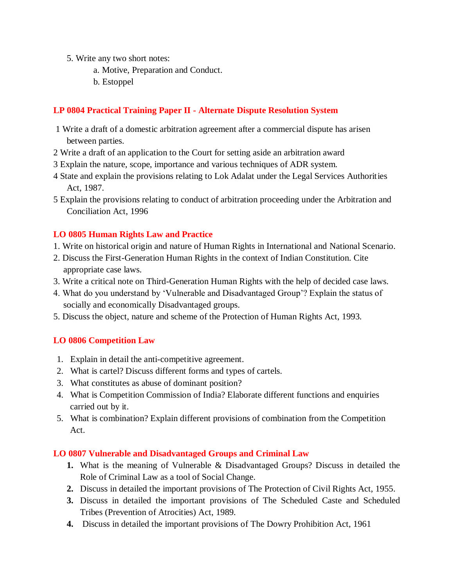- 5. Write any two short notes:
	- a. Motive, Preparation and Conduct.
	- b. Estoppel

#### **LP 0804 Practical Training Paper II - Alternate Dispute Resolution System**

- 1 Write a draft of a domestic arbitration agreement after a commercial dispute has arisen between parties.
- 2 Write a draft of an application to the Court for setting aside an arbitration award
- 3 Explain the nature, scope, importance and various techniques of ADR system.
- 4 State and explain the provisions relating to Lok Adalat under the Legal Services Authorities Act, 1987.
- 5 Explain the provisions relating to conduct of arbitration proceeding under the Arbitration and Conciliation Act, 1996

#### **LO 0805 Human Rights Law and Practice**

- 1. Write on historical origin and nature of Human Rights in International and National Scenario.
- 2. Discuss the First-Generation Human Rights in the context of Indian Constitution. Cite appropriate case laws.
- 3. Write a critical note on Third-Generation Human Rights with the help of decided case laws.
- 4. What do you understand by 'Vulnerable and Disadvantaged Group'? Explain the status of socially and economically Disadvantaged groups.
- 5. Discuss the object, nature and scheme of the Protection of Human Rights Act, 1993.

#### **LO 0806 Competition Law**

- 1. Explain in detail the anti-competitive agreement.
- 2. What is cartel? Discuss different forms and types of cartels.
- 3. What constitutes as abuse of dominant position?
- 4. What is Competition Commission of India? Elaborate different functions and enquiries carried out by it.
- 5. What is combination? Explain different provisions of combination from the Competition Act.

#### **LO 0807 Vulnerable and Disadvantaged Groups and Criminal Law**

- **1.** What is the meaning of Vulnerable & Disadvantaged Groups? Discuss in detailed the Role of Criminal Law as a tool of Social Change.
- **2.** Discuss in detailed the important provisions of The Protection of Civil Rights Act, 1955.
- **3.** Discuss in detailed the important provisions of The Scheduled Caste and Scheduled Tribes (Prevention of Atrocities) Act, 1989.
- **4.** Discuss in detailed the important provisions of The Dowry Prohibition Act, 1961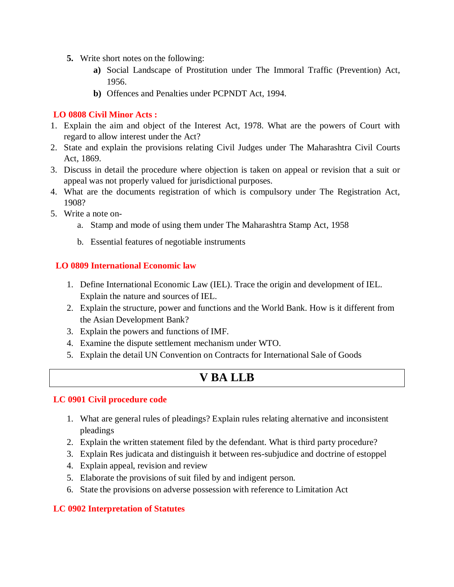- **5.** Write short notes on the following:
	- **a)** Social Landscape of Prostitution under The Immoral Traffic (Prevention) Act, 1956.
	- **b)** Offences and Penalties under PCPNDT Act, 1994.

#### **LO 0808 Civil Minor Acts :**

- 1. Explain the aim and object of the Interest Act, 1978. What are the powers of Court with regard to allow interest under the Act?
- 2. State and explain the provisions relating Civil Judges under The Maharashtra Civil Courts Act, 1869.
- 3. Discuss in detail the procedure where objection is taken on appeal or revision that a suit or appeal was not properly valued for jurisdictional purposes.
- 4. What are the documents registration of which is compulsory under The Registration Act, 1908?
- 5. Write a note on
	- a. Stamp and mode of using them under The Maharashtra Stamp Act, 1958
	- b. Essential features of negotiable instruments

#### **LO 0809 International Economic law**

- 1. Define International Economic Law (IEL). Trace the origin and development of IEL. Explain the nature and sources of IEL.
- 2. Explain the structure, power and functions and the World Bank. How is it different from the Asian Development Bank?
- 3. Explain the powers and functions of IMF.
- 4. Examine the dispute settlement mechanism under WTO.
- 5. Explain the detail UN Convention on Contracts for International Sale of Goods

## **V BA LLB**

#### **LC 0901 Civil procedure code**

- 1. What are general rules of pleadings? Explain rules relating alternative and inconsistent pleadings
- 2. Explain the written statement filed by the defendant. What is third party procedure?
- 3. Explain Res judicata and distinguish it between res-subjudice and doctrine of estoppel
- 4. Explain appeal, revision and review
- 5. Elaborate the provisions of suit filed by and indigent person.
- 6. State the provisions on adverse possession with reference to Limitation Act

#### **LC 0902 Interpretation of Statutes**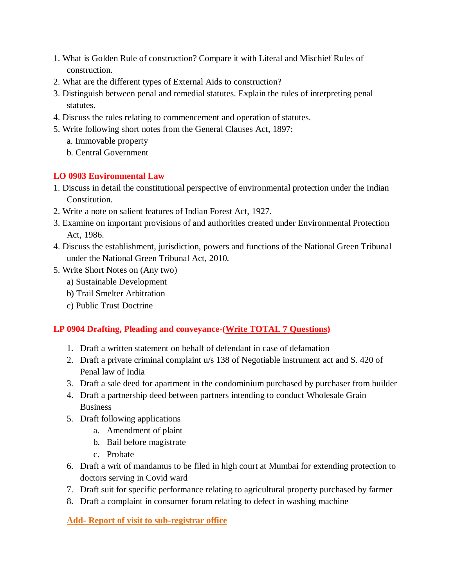- 1. What is Golden Rule of construction? Compare it with Literal and Mischief Rules of construction.
- 2. What are the different types of External Aids to construction?
- 3. Distinguish between penal and remedial statutes. Explain the rules of interpreting penal statutes.
- 4. Discuss the rules relating to commencement and operation of statutes.
- 5. Write following short notes from the General Clauses Act, 1897:
	- a. Immovable property
	- b. Central Government

#### **LO 0903 Environmental Law**

- 1. Discuss in detail the constitutional perspective of environmental protection under the Indian Constitution.
- 2. Write a note on salient features of Indian Forest Act, 1927.
- 3. Examine on important provisions of and authorities created under Environmental Protection Act, 1986.
- 4. Discuss the establishment, jurisdiction, powers and functions of the National Green Tribunal under the National Green Tribunal Act, 2010.
- 5. Write Short Notes on (Any two)
	- a) Sustainable Development
	- b) Trail Smelter Arbitration
	- c) Public Trust Doctrine

#### **LP 0904 Drafting, Pleading and conveyance-(Write TOTAL 7 Questions)**

- 1. Draft a written statement on behalf of defendant in case of defamation
- 2. Draft a private criminal complaint u/s 138 of Negotiable instrument act and S. 420 of Penal law of India
- 3. Draft a sale deed for apartment in the condominium purchased by purchaser from builder
- 4. Draft a partnership deed between partners intending to conduct Wholesale Grain **Business**
- 5. Draft following applications
	- a. Amendment of plaint
	- b. Bail before magistrate
	- c. Probate
- 6. Draft a writ of mandamus to be filed in high court at Mumbai for extending protection to doctors serving in Covid ward
- 7. Draft suit for specific performance relating to agricultural property purchased by farmer
- 8. Draft a complaint in consumer forum relating to defect in washing machine

**Add- Report of visit to sub-registrar office**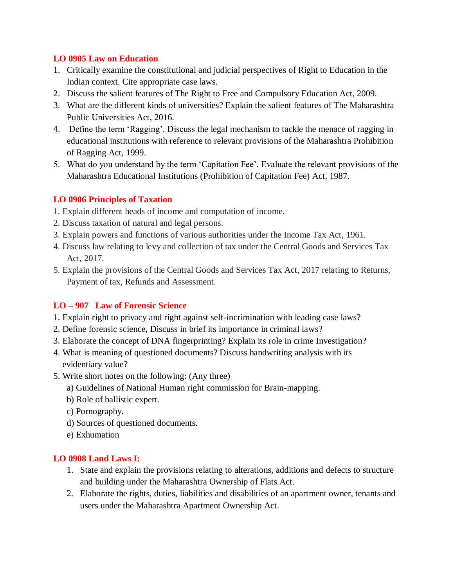#### **LO 0905 Law on Education**

- 1. Critically examine the constitutional and judicial perspectives of Right to Education in the Indian context. Cite appropriate case laws.
- 2. Discuss the salient features of The Right to Free and Compulsory Education Act, 2009.
- 3. What are the different kinds of universities? Explain the salient features of The Maharashtra Public Universities Act, 2016.
- 4. Define the term 'Ragging'. Discuss the legal mechanism to tackle the menace of ragging in educational institutions with reference to relevant provisions of the Maharashtra Prohibition of Ragging Act, 1999.
- 5. What do you understand by the term 'Capitation Fee'. Evaluate the relevant provisions of the Maharashtra Educational Institutions (Prohibition of Capitation Fee) Act, 1987.

#### **LO 0906 Principles of Taxation**

- 1. Explain different heads of income and computation of income.
- 2. Discuss taxation of natural and legal persons.
- 3. Explain powers and functions of various authorities under the Income Tax Act, 1961.
- 4. Discuss law relating to levy and collection of tax under the Central Goods and Services Tax Act, 2017.
- 5. Explain the provisions of the Central Goods and Services Tax Act, 2017 relating to Returns, Payment of tax, Refunds and Assessment.

#### **LO – 907 Law of Forensic Science**

- 1. Explain right to privacy and right against self-incrimination with leading case laws?
- 2. Define forensic science, Discuss in brief its importance in criminal laws?
- 3. Elaborate the concept of DNA fingerprinting? Explain its role in crime Investigation?
- 4. What is meaning of questioned documents? Discuss handwriting analysis with its evidentiary value?
- 5. Write short notes on the following: (Any three)
	- a) Guidelines of National Human right commission for Brain-mapping.
	- b) Role of ballistic expert.
	- c) Pornography.
	- d) Sources of questioned documents.
	- e) Exhumation

#### **LO 0908 Land Laws I:**

- 1. State and explain the provisions relating to alterations, additions and defects to structure and building under the Maharashtra Ownership of Flats Act.
- 2. Elaborate the rights, duties, liabilities and disabilities of an apartment owner, tenants and users under the Maharashtra Apartment Ownership Act.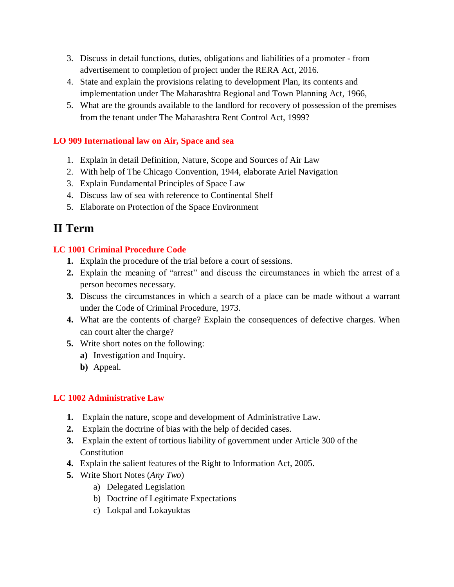- 3. Discuss in detail functions, duties, obligations and liabilities of a promoter from advertisement to completion of project under the RERA Act, 2016.
- 4. State and explain the provisions relating to development Plan, its contents and implementation under The Maharashtra Regional and Town Planning Act, 1966,
- 5. What are the grounds available to the landlord for recovery of possession of the premises from the tenant under The Maharashtra Rent Control Act, 1999?

#### **LO 909 International law on Air, Space and sea**

- 1. Explain in detail Definition, Nature, Scope and Sources of Air Law
- 2. With help of The Chicago Convention, 1944, elaborate Ariel Navigation
- 3. Explain Fundamental Principles of Space Law
- 4. Discuss law of sea with reference to Continental Shelf
- 5. Elaborate on Protection of the Space Environment

# **II Term**

#### **LC 1001 Criminal Procedure Code**

- **1.** Explain the procedure of the trial before a court of sessions.
- **2.** Explain the meaning of "arrest" and discuss the circumstances in which the arrest of a person becomes necessary.
- **3.** Discuss the circumstances in which a search of a place can be made without a warrant under the Code of Criminal Procedure, 1973.
- **4.** What are the contents of charge? Explain the consequences of defective charges. When can court alter the charge?
- **5.** Write short notes on the following:
	- **a)** Investigation and Inquiry.
	- **b)** Appeal.

#### **LC 1002 Administrative Law**

- **1.** Explain the nature, scope and development of Administrative Law.
- **2.** Explain the doctrine of bias with the help of decided cases.
- **3.** Explain the extent of tortious liability of government under Article 300 of the **Constitution**
- **4.** Explain the salient features of the Right to Information Act, 2005.
- **5.** Write Short Notes (*Any Two*)
	- a) Delegated Legislation
	- b) Doctrine of Legitimate Expectations
	- c) Lokpal and Lokayuktas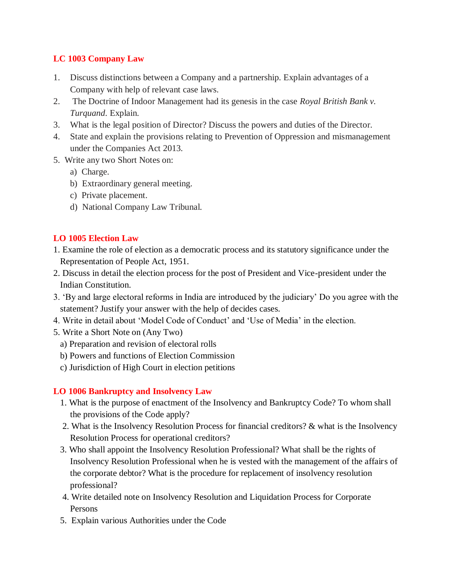#### **LC 1003 Company Law**

- 1. Discuss distinctions between a Company and a partnership. Explain advantages of a Company with help of relevant case laws.
- 2. The Doctrine of Indoor Management had its genesis in the case *Royal British Bank v. Turquand*. Explain.
- 3. What is the legal position of Director? Discuss the powers and duties of the Director.
- 4. State and explain the provisions relating to Prevention of Oppression and mismanagement under the Companies Act 2013.
- 5. Write any two Short Notes on:
	- a) Charge.
	- b) Extraordinary general meeting.
	- c) Private placement.
	- d) National Company Law Tribunal.

#### **LO 1005 Election Law**

- 1. Examine the role of election as a democratic process and its statutory significance under the Representation of People Act, 1951.
- 2. Discuss in detail the election process for the post of President and Vice-president under the Indian Constitution.
- 3. 'By and large electoral reforms in India are introduced by the judiciary' Do you agree with the statement? Justify your answer with the help of decides cases.
- 4. Write in detail about 'Model Code of Conduct' and 'Use of Media' in the election.
- 5. Write a Short Note on (Any Two)
	- a) Preparation and revision of electoral rolls
	- b) Powers and functions of Election Commission
	- c) Jurisdiction of High Court in election petitions

#### **LO 1006 Bankruptcy and Insolvency Law**

- 1. What is the purpose of enactment of the Insolvency and Bankruptcy Code? To whom shall the provisions of the Code apply?
- 2. What is the Insolvency Resolution Process for financial creditors? & what is the Insolvency Resolution Process for operational creditors?
- 3. Who shall appoint the Insolvency Resolution Professional? What shall be the rights of Insolvency Resolution Professional when he is vested with the management of the affairs of the corporate debtor? What is the procedure for replacement of insolvency resolution professional?
- 4. Write detailed note on Insolvency Resolution and Liquidation Process for Corporate Persons
- 5. Explain various Authorities under the Code